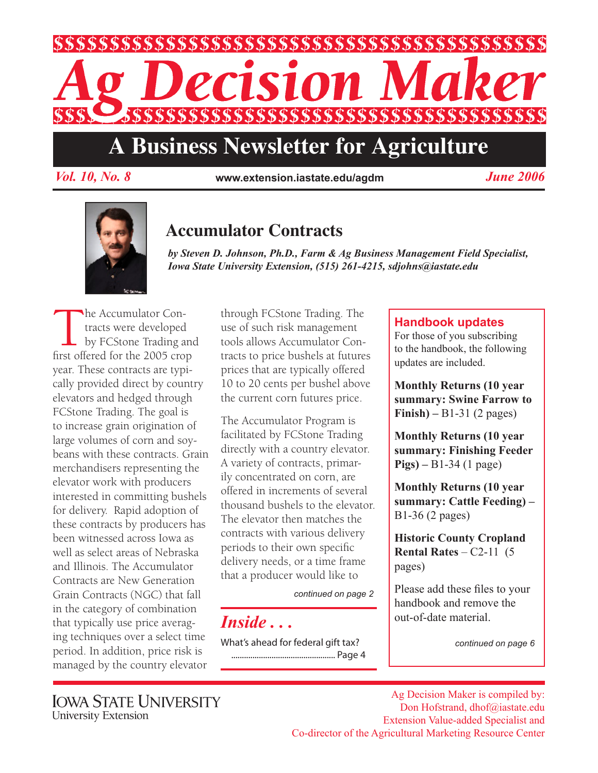

# **A Business Newsletter for Agriculture**

*Vol. 10, No. 8 June 2006* **www.extension.iastate.edu/agdm**



# **Accumulator Contracts**

*by Steven D. Johnson, Ph.D., Farm & Ag Business Management Field Specialist, Iowa State University Extension, (515) 261-4215, sdjohns@iastate.edu*

The Accumulator Contracts were developed<br>by FCStone Trading a<br>first offered for the 2005 cro tracts were developed by FCStone Trading and first offered for the 2005 crop year. These contracts are typically provided direct by country elevators and hedged through FCStone Trading. The goal is to increase grain origination of large volumes of corn and soybeans with these contracts. Grain merchandisers representing the elevator work with producers interested in committing bushels for delivery. Rapid adoption of these contracts by producers has been witnessed across Iowa as well as select areas of Nebraska and Illinois. The Accumulator Contracts are New Generation Grain Contracts (NGC) that fall in the category of combination that typically use price averaging techniques over a select time period. In addition, price risk is managed by the country elevator

through FCStone Trading. The use of such risk management tools allows Accumulator Contracts to price bushels at futures prices that are typically offered 10 to 20 cents per bushel above the current corn futures price.

The Accumulator Program is facilitated by FCStone Trading directly with a country elevator. A variety of contracts, primarily concentrated on corn, are offered in increments of several thousand bushels to the elevator. The elevator then matches the contracts with various delivery periods to their own specific delivery needs, or a time frame that a producer would like to

*continued on page 2*

*Inside . . .*

What's ahead for federal gift tax? ................................................. Page 4

### **Handbook updates**

For those of you subscribing to the handbook, the following updates are included.

**Monthly Returns (10 year summary: Swine Farrow to Finish) –** B1-31 (2 pages)

**Monthly Returns (10 year summary: Finishing Feeder Pigs) –** B1-34 (1 page)

**Monthly Returns (10 year summary: Cattle Feeding) –** B1-36 (2 pages)

**Historic County Cropland Rental Rates** – C2-11 (5 pages)

Please add these files to your handbook and remove the out-of-date material.

*continued on page 6*

**IOWA STATE UNIVERSITY** University Extension

Ag Decision Maker is compiled by: Don Hofstrand, dhof@iastate.edu Extension Value-added Specialist and Co-director of the Agricultural Marketing Resource Center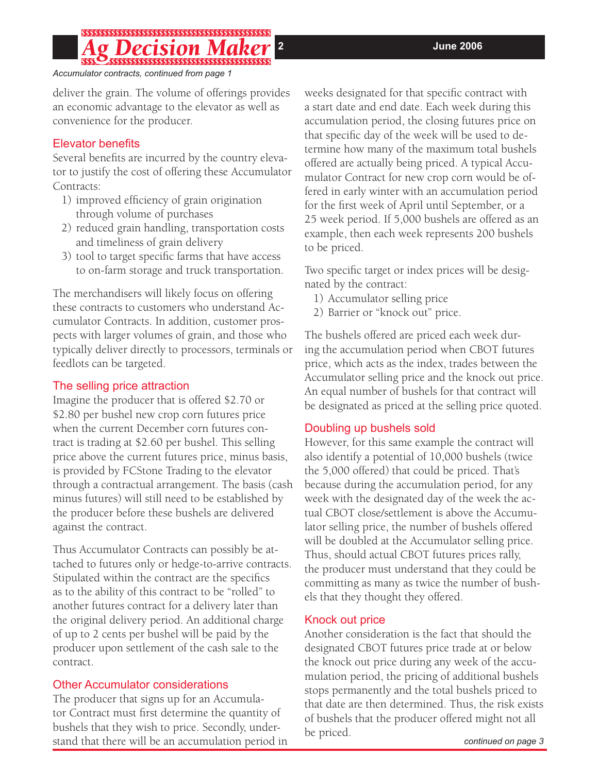*Accumulator contracts, continued from page 1*

deliver the grain. The volume of offerings provides an economic advantage to the elevator as well as convenience for the producer.

#### Elevator benefits

Several benefits are incurred by the country elevator to justify the cost of offering these Accumulator Contracts:

- 1) improved efficiency of grain origination through volume of purchases
- 2) reduced grain handling, transportation costs and timeliness of grain delivery
- 3) tool to target specific farms that have access to on-farm storage and truck transportation.

The merchandisers will likely focus on offering these contracts to customers who understand Accumulator Contracts. In addition, customer prospects with larger volumes of grain, and those who typically deliver directly to processors, terminals or feedlots can be targeted.

#### The selling price attraction

Imagine the producer that is offered \$2.70 or \$2.80 per bushel new crop corn futures price when the current December corn futures contract is trading at \$2.60 per bushel. This selling price above the current futures price, minus basis, is provided by FCStone Trading to the elevator through a contractual arrangement. The basis (cash minus futures) will still need to be established by the producer before these bushels are delivered against the contract.

Thus Accumulator Contracts can possibly be attached to futures only or hedge-to-arrive contracts. Stipulated within the contract are the specifics as to the ability of this contract to be "rolled" to another futures contract for a delivery later than the original delivery period. An additional charge of up to 2 cents per bushel will be paid by the producer upon settlement of the cash sale to the contract.

#### Other Accumulator considerations

The producer that signs up for an Accumulator Contract must first determine the quantity of bushels that they wish to price. Secondly, understand that there will be an accumulation period in weeks designated for that specific contract with a start date and end date. Each week during this accumulation period, the closing futures price on that specific day of the week will be used to determine how many of the maximum total bushels offered are actually being priced. A typical Accumulator Contract for new crop corn would be offered in early winter with an accumulation period for the first week of April until September, or a 25 week period. If 5,000 bushels are offered as an example, then each week represents 200 bushels to be priced.

Two specific target or index prices will be designated by the contract:

- 1) Accumulator selling price
- 2) Barrier or "knock out" price.

The bushels offered are priced each week during the accumulation period when CBOT futures price, which acts as the index, trades between the Accumulator selling price and the knock out price. An equal number of bushels for that contract will be designated as priced at the selling price quoted.

#### Doubling up bushels sold

However, for this same example the contract will also identify a potential of 10,000 bushels (twice the 5,000 offered) that could be priced. That's because during the accumulation period, for any week with the designated day of the week the actual CBOT close/settlement is above the Accumulator selling price, the number of bushels offered will be doubled at the Accumulator selling price. Thus, should actual CBOT futures prices rally, the producer must understand that they could be committing as many as twice the number of bushels that they thought they offered.

#### Knock out price

Another consideration is the fact that should the designated CBOT futures price trade at or below the knock out price during any week of the accumulation period, the pricing of additional bushels stops permanently and the total bushels priced to that date are then determined. Thus, the risk exists of bushels that the producer offered might not all be priced.